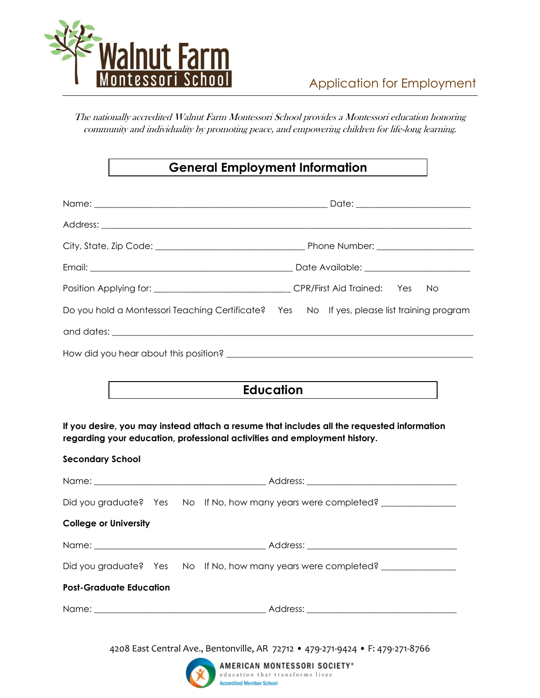

The nationally accredited Walnut Farm Montessori School provides a Montessori education honoring community and individuality by promoting peace, and empowering children for life-long learning.

## **General Employment Information**

|                                                                                                                                                                         | No. |  |  |
|-------------------------------------------------------------------------------------------------------------------------------------------------------------------------|-----|--|--|
| Do you hold a Montessori Teaching Certificate? Yes No If yes, please list training program                                                                              |     |  |  |
|                                                                                                                                                                         |     |  |  |
|                                                                                                                                                                         |     |  |  |
|                                                                                                                                                                         |     |  |  |
| Education                                                                                                                                                               |     |  |  |
| If you desire, you may instead attach a resume that includes all the requested information<br>regarding your education, professional activities and employment history. |     |  |  |
| <b>Secondary School</b>                                                                                                                                                 |     |  |  |
|                                                                                                                                                                         |     |  |  |
| Did you graduate? Yes No If No, how many years were completed? _________________                                                                                        |     |  |  |
| <b>College or University</b>                                                                                                                                            |     |  |  |
|                                                                                                                                                                         |     |  |  |
| Did you graduate? Yes No If No, how many years were completed? _________________                                                                                        |     |  |  |
| <b>Post-Graduate Education</b>                                                                                                                                          |     |  |  |
|                                                                                                                                                                         |     |  |  |

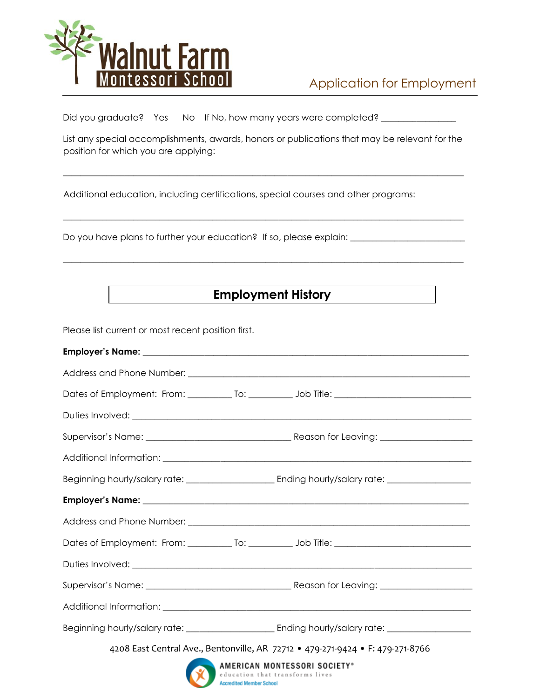

Did you graduate? Yes No If No, how many years were completed? \_\_\_\_\_\_\_\_\_\_\_

List any special accomplishments, awards, honors or publications that may be relevant for the position for which you are applying:

**\_\_\_\_\_\_\_\_\_\_\_\_\_\_\_\_\_\_\_\_\_\_\_\_\_\_\_\_\_\_\_\_\_\_\_\_\_\_\_\_\_\_\_\_\_\_\_\_\_\_\_\_\_\_\_\_\_\_\_\_\_\_\_\_\_\_\_\_\_\_\_\_\_\_\_\_\_\_\_\_\_\_\_\_\_\_\_\_\_\_\_**

\_\_\_\_\_\_\_\_\_\_\_\_\_\_\_\_\_\_\_\_\_\_\_\_\_\_\_\_\_\_\_\_\_\_\_\_\_\_\_\_\_\_\_\_\_\_\_\_\_\_\_\_\_\_\_\_\_\_\_\_\_\_\_\_\_\_\_\_\_\_\_\_\_\_\_\_\_\_\_\_\_\_\_\_\_\_\_\_\_\_\_

\_\_\_\_\_\_\_\_\_\_\_\_\_\_\_\_\_\_\_\_\_\_\_\_\_\_\_\_\_\_\_\_\_\_\_\_\_\_\_\_\_\_\_\_\_\_\_\_\_\_\_\_\_\_\_\_\_\_\_\_\_\_\_\_\_\_\_\_\_\_\_\_\_\_\_\_\_\_\_\_\_\_\_\_\_\_\_\_\_\_\_

Additional education, including certifications, special courses and other programs:

Do you have plans to further your education? If so, please explain: \_\_\_\_\_\_\_\_\_\_\_\_\_

# **Employment History**

Please list current or most recent position first.

|  | Dates of Employment: From: ____________ To: ____________ Job Title: ________________________________ |
|--|------------------------------------------------------------------------------------------------------|
|  |                                                                                                      |
|  |                                                                                                      |
|  |                                                                                                      |
|  |                                                                                                      |
|  | 4208 East Central Ave., Bentonville, AR 72712 • 479-271-9424 • F: 479-271-8766                       |
|  | AMERICAN MONTESSORI SOCIETY®<br>education that transforms lives                                      |

Accredited Member School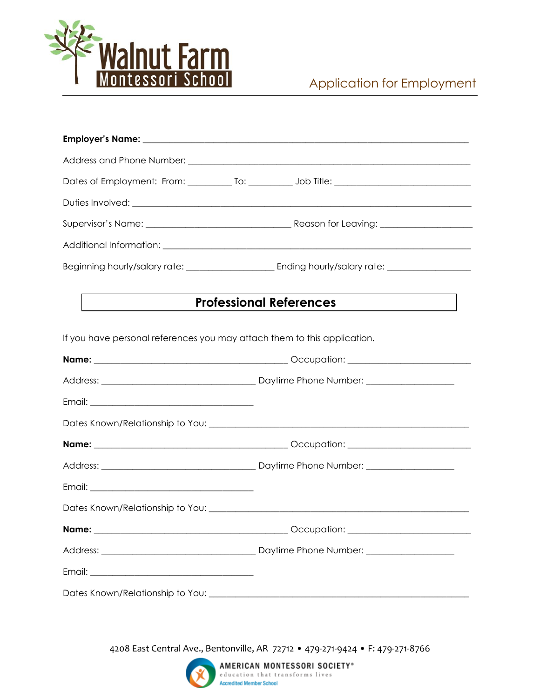

|                                                                          | Dates of Employment: From: ____________ To: ____________ Job Title: ________________________________ |  |
|--------------------------------------------------------------------------|------------------------------------------------------------------------------------------------------|--|
|                                                                          |                                                                                                      |  |
|                                                                          |                                                                                                      |  |
|                                                                          |                                                                                                      |  |
|                                                                          |                                                                                                      |  |
|                                                                          | <b>Professional References</b>                                                                       |  |
| If you have personal references you may attach them to this application. |                                                                                                      |  |
|                                                                          |                                                                                                      |  |
|                                                                          |                                                                                                      |  |
|                                                                          |                                                                                                      |  |
|                                                                          |                                                                                                      |  |
|                                                                          |                                                                                                      |  |
|                                                                          |                                                                                                      |  |
|                                                                          |                                                                                                      |  |
|                                                                          |                                                                                                      |  |
|                                                                          |                                                                                                      |  |
|                                                                          |                                                                                                      |  |
|                                                                          |                                                                                                      |  |
|                                                                          |                                                                                                      |  |

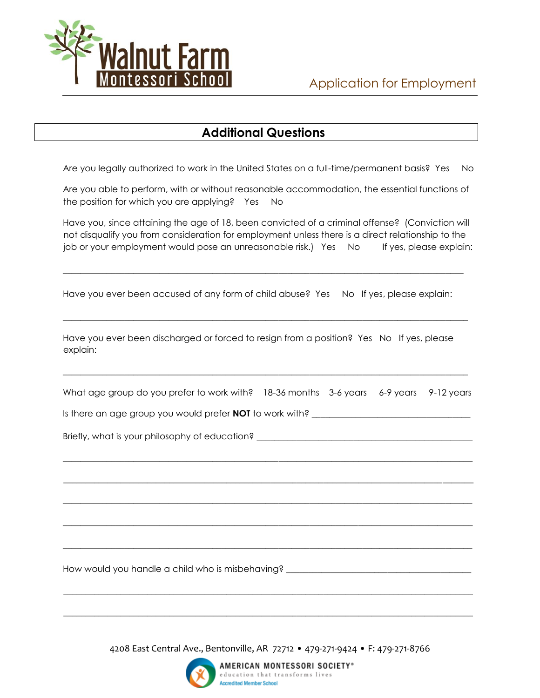

### **Additional Questions**

Are you legally authorized to work in the United States on a full-time/permanent basis? Yes No

Are you able to perform, with or without reasonable accommodation, the essential functions of the position for which you are applying? Yes No

Have you, since attaining the age of 18, been convicted of a criminal offense? (Conviction will not disqualify you from consideration for employment unless there is a direct relationship to the job or your employment would pose an unreasonable risk.) Yes No If yes, please explain:

Have you ever been accused of any form of child abuse? Yes No If yes, please explain:

\_\_\_\_\_\_\_\_\_\_\_\_\_\_\_\_\_\_\_\_\_\_\_\_\_\_\_\_\_\_\_\_\_\_\_\_\_\_\_\_\_\_\_\_\_\_\_\_\_\_\_\_\_\_\_\_\_\_\_\_\_\_\_\_\_\_\_\_\_\_\_\_\_\_\_\_\_\_\_\_\_\_\_\_\_\_\_\_\_\_\_

 $\mathcal{L}_\mathcal{L} = \{ \mathcal{L}_\mathcal{L} = \{ \mathcal{L}_\mathcal{L} = \{ \mathcal{L}_\mathcal{L} = \{ \mathcal{L}_\mathcal{L} = \{ \mathcal{L}_\mathcal{L} = \{ \mathcal{L}_\mathcal{L} = \{ \mathcal{L}_\mathcal{L} = \{ \mathcal{L}_\mathcal{L} = \{ \mathcal{L}_\mathcal{L} = \{ \mathcal{L}_\mathcal{L} = \{ \mathcal{L}_\mathcal{L} = \{ \mathcal{L}_\mathcal{L} = \{ \mathcal{L}_\mathcal{L} = \{ \mathcal{L}_\mathcal{$ 

Have you ever been discharged or forced to resign from a position? Yes No If yes, please explain:

What age group do you prefer to work with? 18-36 months 3-6 years 6-9 years 9-12 years

\_\_\_\_\_\_\_\_\_\_\_\_\_\_\_\_\_\_\_\_\_\_\_\_\_\_\_\_\_\_\_\_\_\_\_\_\_\_\_\_\_\_\_\_\_\_\_\_\_\_\_\_\_\_\_\_\_\_\_\_\_\_\_\_\_\_\_\_\_\_\_\_\_\_\_\_\_\_\_\_\_\_\_\_\_\_\_\_\_\_\_\_\_

\_\_\_\_\_\_\_\_\_\_\_\_\_\_\_\_\_\_\_\_\_\_\_\_\_\_\_\_\_\_\_\_\_\_\_\_\_\_\_\_\_\_\_\_\_\_\_\_\_\_\_\_\_\_\_\_\_\_\_\_\_\_\_\_\_\_\_\_\_\_\_\_\_\_\_\_\_\_\_\_\_\_\_\_\_\_\_\_\_\_\_\_\_

\_\_\_\_\_\_\_\_\_\_\_\_\_\_\_\_\_\_\_\_\_\_\_\_\_\_\_\_\_\_\_\_\_\_\_\_\_\_\_\_\_\_\_\_\_\_\_\_\_\_\_\_\_\_\_\_\_\_\_\_\_\_\_\_\_\_\_\_\_\_\_\_\_\_\_\_\_\_\_\_\_\_\_\_\_\_\_\_\_\_\_\_\_

\_\_\_\_\_\_\_\_\_\_\_\_\_\_\_\_\_\_\_\_\_\_\_\_\_\_\_\_\_\_\_\_\_\_\_\_\_\_\_\_\_\_\_\_\_\_\_\_\_\_\_\_\_\_\_\_\_\_\_\_\_\_\_\_\_\_\_\_\_\_\_\_\_\_\_\_\_\_\_\_\_\_\_\_\_\_\_\_\_\_\_\_\_

\_\_\_\_\_\_\_\_\_\_\_\_\_\_\_\_\_\_\_\_\_\_\_\_\_\_\_\_\_\_\_\_\_\_\_\_\_\_\_\_\_\_\_\_\_\_\_\_\_\_\_\_\_\_\_\_\_\_\_\_\_\_\_\_\_\_\_\_\_\_\_\_\_\_\_\_\_\_\_\_\_\_\_\_\_\_\_\_\_\_\_\_\_

\_\_\_\_\_\_\_\_\_\_\_\_\_\_\_\_\_\_\_\_\_\_\_\_\_\_\_\_\_\_\_\_\_\_\_\_\_\_\_\_\_\_\_\_\_\_\_\_\_\_\_\_\_\_\_\_\_\_\_\_\_\_\_\_\_\_\_\_\_\_\_\_\_\_\_\_\_\_\_\_\_\_\_\_\_\_\_\_\_\_\_\_\_

\_\_\_\_\_\_\_\_\_\_\_\_\_\_\_\_\_\_\_\_\_\_\_\_\_\_\_\_\_\_\_\_\_\_\_\_\_\_\_\_\_\_\_\_\_\_\_\_\_\_\_\_\_\_\_\_\_\_\_\_\_\_\_\_\_\_\_\_\_\_\_\_\_\_\_\_\_\_\_\_\_\_\_\_\_\_\_\_\_\_\_\_\_

\_\_\_\_\_\_\_\_\_\_\_\_\_\_\_\_\_\_\_\_\_\_\_\_\_\_\_\_\_\_\_\_\_\_\_\_\_\_\_\_\_\_\_\_\_\_\_\_\_\_\_\_\_\_\_\_\_\_\_\_\_\_\_\_\_\_\_\_\_\_\_\_\_\_\_\_\_\_\_\_\_\_\_\_\_\_\_\_\_\_\_\_

Is there an age group you would prefer **NOT** to work with? \_\_\_\_\_\_\_\_\_\_\_\_\_\_\_\_\_\_\_\_\_\_\_\_\_\_\_\_\_\_\_\_\_\_\_\_

Briefly, what is your philosophy of education? \_\_\_\_\_\_\_\_\_\_\_\_\_\_\_\_\_\_\_\_\_\_\_\_\_\_\_\_\_\_\_\_\_

How would you handle a child who is misbehaving? \_\_\_\_\_\_\_\_\_\_\_\_\_\_\_\_\_\_\_\_\_\_\_\_\_\_\_\_\_\_\_

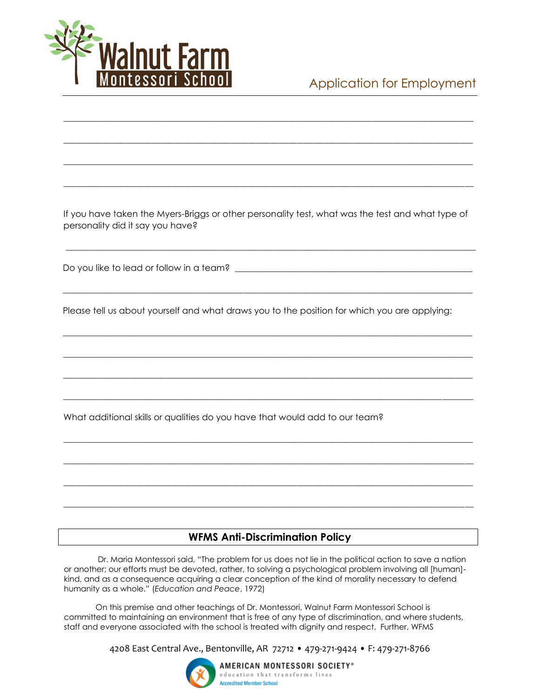

## Application for Employment

If you have taken the Myers-Briggs or other personality test, what was the test and what type of personality did it say you have?

\_\_\_\_\_\_\_\_\_\_\_\_\_\_\_\_\_\_\_\_\_\_\_\_\_\_\_\_\_\_\_\_\_\_\_\_\_\_\_\_\_\_\_\_\_\_\_\_\_\_\_\_\_\_\_\_\_\_\_\_\_\_\_\_\_\_\_\_\_\_\_\_\_\_\_\_\_\_\_\_\_\_\_\_\_\_\_\_\_\_\_\_\_

\_\_\_\_\_\_\_\_\_\_\_\_\_\_\_\_\_\_\_\_\_\_\_\_\_\_\_\_\_\_\_\_\_\_\_\_\_\_\_\_\_\_\_\_\_\_\_\_\_\_\_\_\_\_\_\_\_\_\_\_\_\_\_\_\_\_\_\_\_\_\_\_\_\_\_\_\_\_\_\_\_\_\_\_\_\_\_\_\_\_\_\_\_

\_\_\_\_\_\_\_\_\_\_\_\_\_\_\_\_\_\_\_\_\_\_\_\_\_\_\_\_\_\_\_\_\_\_\_\_\_\_\_\_\_\_\_\_\_\_\_\_\_\_\_\_\_\_\_\_\_\_\_\_\_\_\_\_\_\_\_\_\_\_\_\_\_\_\_\_\_\_\_\_\_\_\_\_\_\_\_\_\_\_\_\_\_

\_\_\_\_\_\_\_\_\_\_\_\_\_\_\_\_\_\_\_\_\_\_\_\_\_\_\_\_\_\_\_\_\_\_\_\_\_\_\_\_\_\_\_\_\_\_\_\_\_\_\_\_\_\_\_\_\_\_\_\_\_\_\_\_\_\_\_\_\_\_\_\_\_\_\_\_\_\_\_\_\_\_\_\_\_\_\_\_\_\_\_\_\_

\_\_\_\_\_\_\_\_\_\_\_\_\_\_\_\_\_\_\_\_\_\_\_\_\_\_\_\_\_\_\_\_\_\_\_\_\_\_\_\_\_\_\_\_\_\_\_\_\_\_\_\_\_\_\_\_\_\_\_\_\_\_\_\_\_\_\_\_\_\_\_\_\_\_\_\_\_\_\_\_\_\_\_\_\_\_\_\_\_\_\_\_\_

\_\_\_\_\_\_\_\_\_\_\_\_\_\_\_\_\_\_\_\_\_\_\_\_\_\_\_\_\_\_\_\_\_\_\_\_\_\_\_\_\_\_\_\_\_\_\_\_\_\_\_\_\_\_\_\_\_\_\_\_\_\_\_\_\_\_\_\_\_\_\_\_\_\_\_\_\_\_\_\_\_\_\_\_\_\_\_\_\_\_\_\_\_

\_\_\_\_\_\_\_\_\_\_\_\_\_\_\_\_\_\_\_\_\_\_\_\_\_\_\_\_\_\_\_\_\_\_\_\_\_\_\_\_\_\_\_\_\_\_\_\_\_\_\_\_\_\_\_\_\_\_\_\_\_\_\_\_\_\_\_\_\_\_\_\_\_\_\_\_\_\_\_\_\_\_\_\_\_\_\_\_\_\_\_\_\_

 $\overline{\phantom{a}}$  , and the contribution of the contribution of the contribution of the contribution of the contribution of the contribution of the contribution of the contribution of the contribution of the contribution of the

\_\_\_\_\_\_\_\_\_\_\_\_\_\_\_\_\_\_\_\_\_\_\_\_\_\_\_\_\_\_\_\_\_\_\_\_\_\_\_\_\_\_\_\_\_\_\_\_\_\_\_\_\_\_\_\_\_\_\_\_\_\_\_\_\_\_\_\_\_\_\_\_\_\_\_\_\_\_\_\_\_\_\_\_\_\_\_\_\_\_\_\_\_

 $\overline{\phantom{a}}$  , and the state of the state of the state of the state of the state of the state of the state of the state of the state of the state of the state of the state of the state of the state of the state of the stat

\_\_\_\_\_\_\_\_\_\_\_\_\_\_\_\_\_\_\_\_\_\_\_\_\_\_\_\_\_\_\_\_\_\_\_\_\_\_\_\_\_\_\_\_\_\_\_\_\_\_\_\_\_\_\_\_\_\_\_\_\_\_\_\_\_\_\_\_\_\_\_\_\_\_\_\_\_\_\_\_\_\_\_\_\_\_\_\_\_\_\_\_\_

\_\_\_\_\_\_\_\_\_\_\_\_\_\_\_\_\_\_\_\_\_\_\_\_\_\_\_\_\_\_\_\_\_\_\_\_\_\_\_\_\_\_\_\_\_\_\_\_\_\_\_\_\_\_\_\_\_\_\_\_\_\_\_\_\_\_\_\_\_\_\_\_\_\_\_\_\_\_\_\_\_\_\_\_\_\_\_\_\_\_\_\_\_

\_\_\_\_\_\_\_\_\_\_\_\_\_\_\_\_\_\_\_\_\_\_\_\_\_\_\_\_\_\_\_\_\_\_\_\_\_\_\_\_\_\_\_\_\_\_\_\_\_\_\_\_\_\_\_\_\_\_\_\_\_\_\_\_\_\_\_\_\_\_\_\_\_\_\_\_\_\_\_\_\_\_\_\_\_\_\_\_\_\_\_\_\_

 $\overline{\phantom{a}}$  , and the state of the state of the state of the state of the state of the state of the state of the state of the state of the state of the state of the state of the state of the state of the state of the stat

Do you like to lead or follow in a team?

Please tell us about yourself and what draws you to the position for which you are applying:

What additional skills or qualities do you have that would add to our team?

#### **WFMS Anti-Discrimination Policy**

Dr. Maria Montessori said, "The problem for us does not lie in the political action to save a nation or another; our efforts must be devoted, rather, to solving a psychological problem involving all [human] kind, and as a consequence acquiring a clear conception of the kind of morality necessary to defend humanity as a whole." (*Education and Peace*, 1972)

On this premise and other teachings of Dr. Montessori, Walnut Farm Montessori School is committed to maintaining an environment that is free of any type of discrimination, and where students, staff and everyone associated with the school is treated with dignity and respect. Further, WFMS

4208 East Central Ave., Bentonville, AR 72712 • 479-271-9424 • F: 479-271-8766



AMERICAN MONTESSORI SOCIETY® education that transforms lives **Accredited Member School**